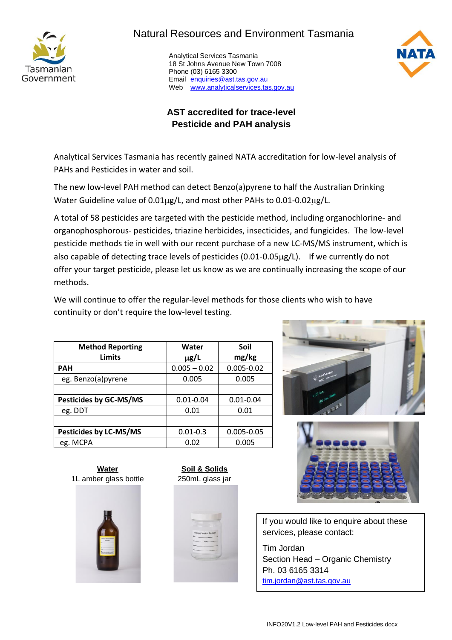

## Natural Resources and Environment Tasmania

 Analytical Services Tasmania 18 St Johns Avenue New Town 7008 Phone (03) 6165 3300 Email [enquiries@ast.tas.gov.au](mailto:enquiries@ast.tas.gov.au) Web [www.analyticalservices.tas.gov.au](http://www.analyticalservices.tas.gov.au/)



## **AST accredited for trace-level Pesticide and PAH analysis**

Analytical Services Tasmania has recently gained NATA accreditation for low-level analysis of PAHs and Pesticides in water and soil.

The new low-level PAH method can detect Benzo(a)pyrene to half the Australian Drinking Water Guideline value of 0.01µg/L, and most other PAHs to 0.01-0.02µg/L.

A total of 58 pesticides are targeted with the pesticide method, including organochlorine- and organophosphorous- pesticides, triazine herbicides, insecticides, and fungicides. The low-level pesticide methods tie in well with our recent purchase of a new LC-MS/MS instrument, which is also capable of detecting trace levels of pesticides (0.01-0.05µg/L). If we currently do not offer your target pesticide, please let us know as we are continually increasing the scope of our methods.

We will continue to offer the regular-level methods for those clients who wish to have continuity or don't require the low-level testing.

| <b>Method Reporting</b><br><b>Limits</b> | Water<br>$\mu$ g/L | Soil<br>mg/kg  |  |
|------------------------------------------|--------------------|----------------|--|
| <b>PAH</b>                               | $0.005 - 0.02$     | $0.005 - 0.02$ |  |
| eg. Benzo(a)pyrene                       | 0.005              | 0.005          |  |
|                                          |                    |                |  |
| <b>Pesticides by GC-MS/MS</b>            | $0.01 - 0.04$      | $0.01 - 0.04$  |  |
| eg. DDT                                  | 0.01               | 0.01           |  |
|                                          |                    |                |  |
| Pesticides by LC-MS/MS                   | $0.01 - 0.3$       | $0.005 - 0.05$ |  |
| eg. MCPA                                 | 0.005<br>0.02      |                |  |





If you would like to enquire about these services, please contact:

Tim Jordan Section Head – Organic Chemistry Ph. 03 6165 3314 [tim.jordan@ast.tas.gov.au](mailto:tim.jordan@ast.tas.gov.au)

**Water Soil & Solids** 1L amber glass bottle 250mL glass jar